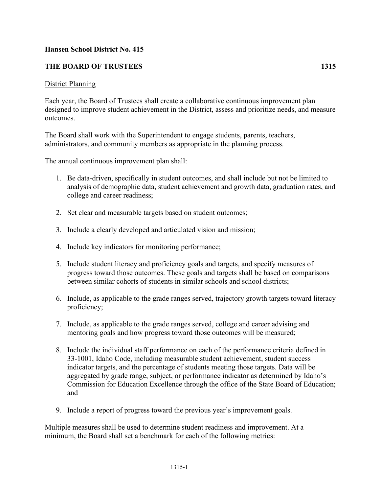## **Hansen School District No. 415**

## **THE BOARD OF TRUSTEES 1315**

## District Planning

Each year, the Board of Trustees shall create a collaborative continuous improvement plan designed to improve student achievement in the District, assess and prioritize needs, and measure outcomes.

The Board shall work with the Superintendent to engage students, parents, teachers, administrators, and community members as appropriate in the planning process.

The annual continuous improvement plan shall:

- 1. Be data-driven, specifically in student outcomes, and shall include but not be limited to analysis of demographic data, student achievement and growth data, graduation rates, and college and career readiness;
- 2. Set clear and measurable targets based on student outcomes;
- 3. Include a clearly developed and articulated vision and mission;
- 4. Include key indicators for monitoring performance;
- 5. Include student literacy and proficiency goals and targets, and specify measures of progress toward those outcomes. These goals and targets shall be based on comparisons between similar cohorts of students in similar schools and school districts;
- 6. Include, as applicable to the grade ranges served, trajectory growth targets toward literacy proficiency;
- 7. Include, as applicable to the grade ranges served, college and career advising and mentoring goals and how progress toward those outcomes will be measured;
- 8. Include the individual staff performance on each of the performance criteria defined in 33-1001, Idaho Code, including measurable student achievement, student success indicator targets, and the percentage of students meeting those targets. Data will be aggregated by grade range, subject, or performance indicator as determined by Idaho's Commission for Education Excellence through the office of the State Board of Education; and
- 9. Include a report of progress toward the previous year's improvement goals.

Multiple measures shall be used to determine student readiness and improvement. At a minimum, the Board shall set a benchmark for each of the following metrics: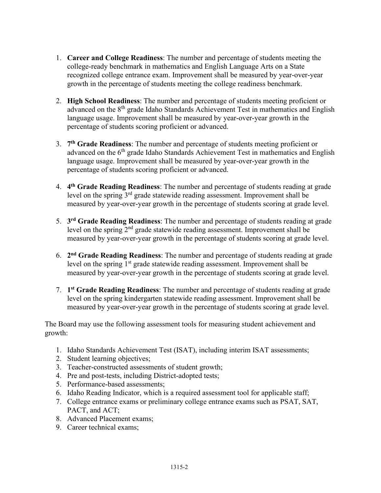- 1. **Career and College Readiness**: The number and percentage of students meeting the college-ready benchmark in mathematics and English Language Arts on a State recognized college entrance exam. Improvement shall be measured by year-over-year growth in the percentage of students meeting the college readiness benchmark.
- 2. **High School Readiness**: The number and percentage of students meeting proficient or advanced on the  $8<sup>th</sup>$  grade Idaho Standards Achievement Test in mathematics and English language usage. Improvement shall be measured by year-over-year growth in the percentage of students scoring proficient or advanced.
- 3. **7th Grade Readiness**: The number and percentage of students meeting proficient or advanced on the 6<sup>th</sup> grade Idaho Standards Achievement Test in mathematics and English language usage. Improvement shall be measured by year-over-year growth in the percentage of students scoring proficient or advanced.
- 4. **4th Grade Reading Readiness**: The number and percentage of students reading at grade level on the spring 3rd grade statewide reading assessment. Improvement shall be measured by year-over-year growth in the percentage of students scoring at grade level.
- 5. **3rd Grade Reading Readiness**: The number and percentage of students reading at grade level on the spring  $2<sup>nd</sup>$  grade statewide reading assessment. Improvement shall be measured by year-over-year growth in the percentage of students scoring at grade level.
- 6. **2nd Grade Reading Readiness**: The number and percentage of students reading at grade level on the spring 1<sup>st</sup> grade statewide reading assessment. Improvement shall be measured by year-over-year growth in the percentage of students scoring at grade level.
- 7. **1st Grade Reading Readiness**: The number and percentage of students reading at grade level on the spring kindergarten statewide reading assessment. Improvement shall be measured by year-over-year growth in the percentage of students scoring at grade level.

The Board may use the following assessment tools for measuring student achievement and growth:

- 1. Idaho Standards Achievement Test (ISAT), including interim ISAT assessments;
- 2. Student learning objectives;
- 3. Teacher-constructed assessments of student growth;
- 4. Pre and post-tests, including District-adopted tests;
- 5. Performance-based assessments;
- 6. Idaho Reading Indicator, which is a required assessment tool for applicable staff;
- 7. College entrance exams or preliminary college entrance exams such as PSAT, SAT, PACT, and ACT;
- 8. Advanced Placement exams;
- 9. Career technical exams;